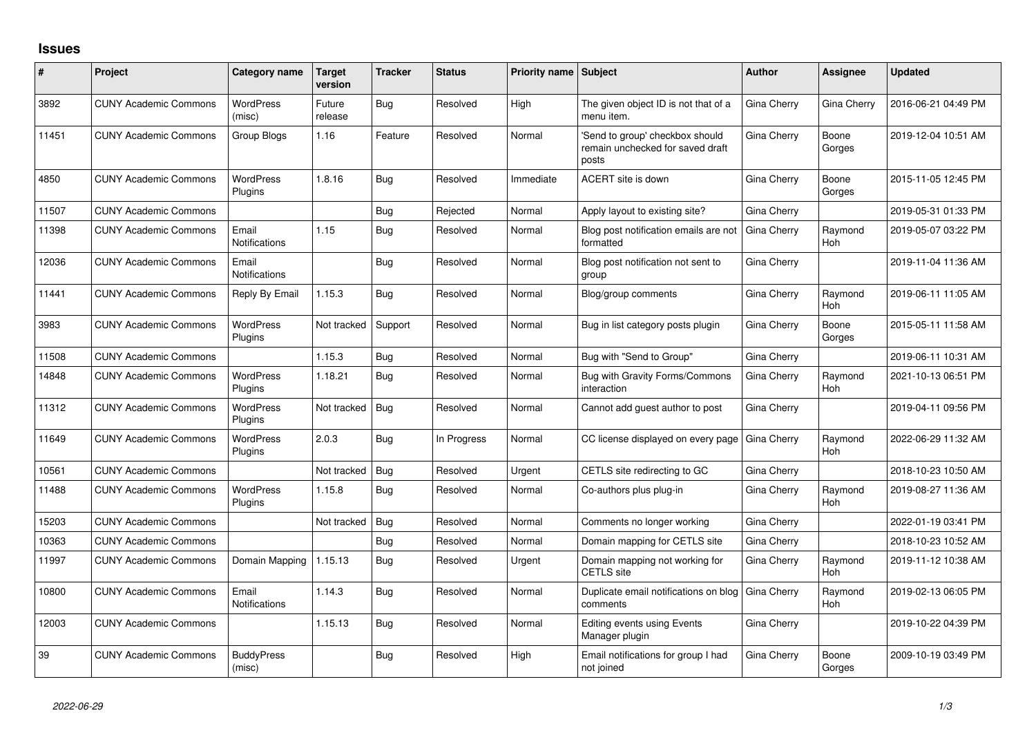## **Issues**

| #     | Project                      | Category name                 | <b>Target</b><br>version | <b>Tracker</b> | <b>Status</b> | <b>Priority name Subject</b> |                                                                              | <b>Author</b> | Assignee              | <b>Updated</b>      |
|-------|------------------------------|-------------------------------|--------------------------|----------------|---------------|------------------------------|------------------------------------------------------------------------------|---------------|-----------------------|---------------------|
| 3892  | <b>CUNY Academic Commons</b> | <b>WordPress</b><br>(misc)    | Future<br>release        | Bug            | Resolved      | High                         | The given object ID is not that of a<br>menu item.                           | Gina Cherry   | Gina Cherry           | 2016-06-21 04:49 PM |
| 11451 | <b>CUNY Academic Commons</b> | Group Blogs                   | 1.16                     | Feature        | Resolved      | Normal                       | 'Send to group' checkbox should<br>remain unchecked for saved draft<br>posts | Gina Cherry   | Boone<br>Gorges       | 2019-12-04 10:51 AM |
| 4850  | <b>CUNY Academic Commons</b> | <b>WordPress</b><br>Plugins   | 1.8.16                   | Bug            | Resolved      | Immediate                    | ACERT site is down                                                           | Gina Cherry   | Boone<br>Gorges       | 2015-11-05 12:45 PM |
| 11507 | <b>CUNY Academic Commons</b> |                               |                          | Bug            | Rejected      | Normal                       | Apply layout to existing site?                                               | Gina Cherry   |                       | 2019-05-31 01:33 PM |
| 11398 | <b>CUNY Academic Commons</b> | Email<br>Notifications        | 1.15                     | Bug            | Resolved      | Normal                       | Blog post notification emails are not<br>formatted                           | Gina Cherry   | Raymond<br>Hoh        | 2019-05-07 03:22 PM |
| 12036 | <b>CUNY Academic Commons</b> | Email<br>Notifications        |                          | Bug            | Resolved      | Normal                       | Blog post notification not sent to<br>group                                  | Gina Cherry   |                       | 2019-11-04 11:36 AM |
| 11441 | <b>CUNY Academic Commons</b> | Reply By Email                | 1.15.3                   | <b>Bug</b>     | Resolved      | Normal                       | Blog/group comments                                                          | Gina Cherry   | Raymond<br><b>Hoh</b> | 2019-06-11 11:05 AM |
| 3983  | <b>CUNY Academic Commons</b> | <b>WordPress</b><br>Plugins   | Not tracked              | Support        | Resolved      | Normal                       | Bug in list category posts plugin                                            | Gina Cherry   | Boone<br>Gorges       | 2015-05-11 11:58 AM |
| 11508 | <b>CUNY Academic Commons</b> |                               | 1.15.3                   | Bug            | Resolved      | Normal                       | Bug with "Send to Group"                                                     | Gina Cherry   |                       | 2019-06-11 10:31 AM |
| 14848 | <b>CUNY Academic Commons</b> | <b>WordPress</b><br>Plugins   | 1.18.21                  | Bug            | Resolved      | Normal                       | Bug with Gravity Forms/Commons<br>interaction                                | Gina Cherry   | Raymond<br><b>Hoh</b> | 2021-10-13 06:51 PM |
| 11312 | <b>CUNY Academic Commons</b> | <b>WordPress</b><br>Plugins   | Not tracked              | Bug            | Resolved      | Normal                       | Cannot add guest author to post                                              | Gina Cherry   |                       | 2019-04-11 09:56 PM |
| 11649 | <b>CUNY Academic Commons</b> | <b>WordPress</b><br>Plugins   | 2.0.3                    | <b>Bug</b>     | In Progress   | Normal                       | CC license displayed on every page                                           | Gina Cherry   | Raymond<br><b>Hoh</b> | 2022-06-29 11:32 AM |
| 10561 | <b>CUNY Academic Commons</b> |                               | Not tracked              | Bug            | Resolved      | Urgent                       | CETLS site redirecting to GC                                                 | Gina Cherry   |                       | 2018-10-23 10:50 AM |
| 11488 | <b>CUNY Academic Commons</b> | <b>WordPress</b><br>Plugins   | 1.15.8                   | Bug            | Resolved      | Normal                       | Co-authors plus plug-in                                                      | Gina Cherry   | Raymond<br><b>Hoh</b> | 2019-08-27 11:36 AM |
| 15203 | <b>CUNY Academic Commons</b> |                               | Not tracked              | Bug            | Resolved      | Normal                       | Comments no longer working                                                   | Gina Cherry   |                       | 2022-01-19 03:41 PM |
| 10363 | <b>CUNY Academic Commons</b> |                               |                          | Bug            | Resolved      | Normal                       | Domain mapping for CETLS site                                                | Gina Cherry   |                       | 2018-10-23 10:52 AM |
| 11997 | <b>CUNY Academic Commons</b> | Domain Mapping                | 1.15.13                  | Bug            | Resolved      | Urgent                       | Domain mapping not working for<br><b>CETLS</b> site                          | Gina Cherry   | Raymond<br>Hoh        | 2019-11-12 10:38 AM |
| 10800 | <b>CUNY Academic Commons</b> | Email<br><b>Notifications</b> | 1.14.3                   | Bug            | Resolved      | Normal                       | Duplicate email notifications on blog<br>comments                            | Gina Cherry   | Raymond<br>Hoh        | 2019-02-13 06:05 PM |
| 12003 | <b>CUNY Academic Commons</b> |                               | 1.15.13                  | Bug            | Resolved      | Normal                       | Editing events using Events<br>Manager plugin                                | Gina Cherry   |                       | 2019-10-22 04:39 PM |
| 39    | <b>CUNY Academic Commons</b> | <b>BuddyPress</b><br>(misc)   |                          | Bug            | Resolved      | High                         | Email notifications for group I had<br>not joined                            | Gina Cherry   | Boone<br>Gorges       | 2009-10-19 03:49 PM |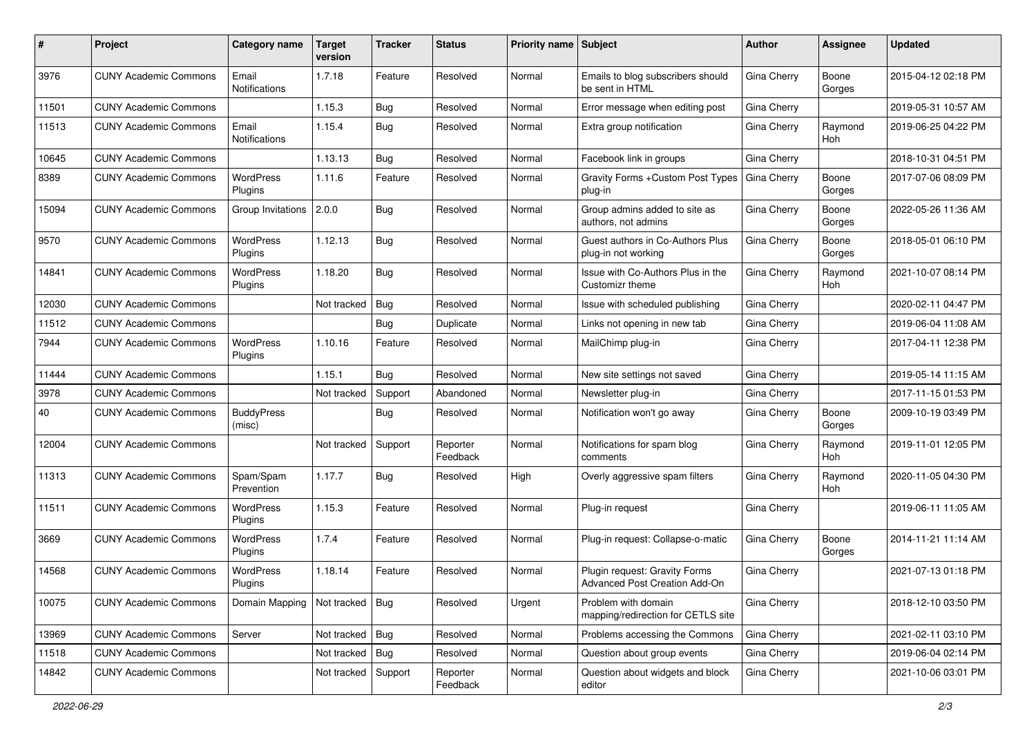| #     | Project                      | <b>Category name</b>          | <b>Target</b><br>version | <b>Tracker</b> | <b>Status</b>        | Priority name Subject |                                                                | Author      | Assignee        | <b>Updated</b>      |
|-------|------------------------------|-------------------------------|--------------------------|----------------|----------------------|-----------------------|----------------------------------------------------------------|-------------|-----------------|---------------------|
| 3976  | <b>CUNY Academic Commons</b> | Email<br>Notifications        | 1.7.18                   | Feature        | Resolved             | Normal                | Emails to blog subscribers should<br>be sent in HTML           | Gina Cherry | Boone<br>Gorges | 2015-04-12 02:18 PM |
| 11501 | <b>CUNY Academic Commons</b> |                               | 1.15.3                   | Bug            | Resolved             | Normal                | Error message when editing post                                | Gina Cherry |                 | 2019-05-31 10:57 AM |
| 11513 | <b>CUNY Academic Commons</b> | Email<br><b>Notifications</b> | 1.15.4                   | Bug            | Resolved             | Normal                | Extra group notification                                       | Gina Cherry | Raymond<br>Hoh  | 2019-06-25 04:22 PM |
| 10645 | <b>CUNY Academic Commons</b> |                               | 1.13.13                  | Bug            | Resolved             | Normal                | Facebook link in groups                                        | Gina Cherry |                 | 2018-10-31 04:51 PM |
| 8389  | <b>CUNY Academic Commons</b> | <b>WordPress</b><br>Plugins   | 1.11.6                   | Feature        | Resolved             | Normal                | Gravity Forms + Custom Post Types<br>plug-in                   | Gina Cherry | Boone<br>Gorges | 2017-07-06 08:09 PM |
| 15094 | <b>CUNY Academic Commons</b> | Group Invitations 2.0.0       |                          | Bug            | Resolved             | Normal                | Group admins added to site as<br>authors, not admins           | Gina Cherry | Boone<br>Gorges | 2022-05-26 11:36 AM |
| 9570  | <b>CUNY Academic Commons</b> | <b>WordPress</b><br>Plugins   | 1.12.13                  | Bug            | Resolved             | Normal                | Guest authors in Co-Authors Plus<br>plug-in not working        | Gina Cherry | Boone<br>Gorges | 2018-05-01 06:10 PM |
| 14841 | <b>CUNY Academic Commons</b> | <b>WordPress</b><br>Plugins   | 1.18.20                  | Bug            | Resolved             | Normal                | Issue with Co-Authors Plus in the<br>Customizr theme           | Gina Cherry | Raymond<br>Hoh  | 2021-10-07 08:14 PM |
| 12030 | <b>CUNY Academic Commons</b> |                               | Not tracked              | Bug            | Resolved             | Normal                | Issue with scheduled publishing                                | Gina Cherry |                 | 2020-02-11 04:47 PM |
| 11512 | <b>CUNY Academic Commons</b> |                               |                          | Bug            | Duplicate            | Normal                | Links not opening in new tab                                   | Gina Cherry |                 | 2019-06-04 11:08 AM |
| 7944  | <b>CUNY Academic Commons</b> | <b>WordPress</b><br>Plugins   | 1.10.16                  | Feature        | Resolved             | Normal                | MailChimp plug-in                                              | Gina Cherry |                 | 2017-04-11 12:38 PM |
| 11444 | <b>CUNY Academic Commons</b> |                               | 1.15.1                   | Bug            | Resolved             | Normal                | New site settings not saved                                    | Gina Cherry |                 | 2019-05-14 11:15 AM |
| 3978  | <b>CUNY Academic Commons</b> |                               | Not tracked              | Support        | Abandoned            | Normal                | Newsletter plug-in                                             | Gina Cherry |                 | 2017-11-15 01:53 PM |
| 40    | <b>CUNY Academic Commons</b> | <b>BuddyPress</b><br>(misc)   |                          | Bug            | Resolved             | Normal                | Notification won't go away                                     | Gina Cherry | Boone<br>Gorges | 2009-10-19 03:49 PM |
| 12004 | <b>CUNY Academic Commons</b> |                               | Not tracked              | Support        | Reporter<br>Feedback | Normal                | Notifications for spam blog<br>comments                        | Gina Cherry | Raymond<br>Hoh  | 2019-11-01 12:05 PM |
| 11313 | <b>CUNY Academic Commons</b> | Spam/Spam<br>Prevention       | 1.17.7                   | Bug            | Resolved             | High                  | Overly aggressive spam filters                                 | Gina Cherry | Raymond<br>Hoh  | 2020-11-05 04:30 PM |
| 11511 | <b>CUNY Academic Commons</b> | <b>WordPress</b><br>Plugins   | 1.15.3                   | Feature        | Resolved             | Normal                | Plug-in request                                                | Gina Cherry |                 | 2019-06-11 11:05 AM |
| 3669  | <b>CUNY Academic Commons</b> | WordPress<br>Plugins          | 1.7.4                    | Feature        | Resolved             | Normal                | Plug-in request: Collapse-o-matic                              | Gina Cherry | Boone<br>Gorges | 2014-11-21 11:14 AM |
| 14568 | <b>CUNY Academic Commons</b> | WordPress<br>Plugins          | 1.18.14                  | Feature        | Resolved             | Normal                | Plugin request: Gravity Forms<br>Advanced Post Creation Add-On | Gina Cherry |                 | 2021-07-13 01:18 PM |
| 10075 | <b>CUNY Academic Commons</b> | Domain Mapping                | Not tracked              | Bug            | Resolved             | Urgent                | Problem with domain<br>mapping/redirection for CETLS site      | Gina Cherry |                 | 2018-12-10 03:50 PM |
| 13969 | <b>CUNY Academic Commons</b> | Server                        | Not tracked Bug          |                | Resolved             | Normal                | Problems accessing the Commons                                 | Gina Cherry |                 | 2021-02-11 03:10 PM |
| 11518 | <b>CUNY Academic Commons</b> |                               | Not tracked   Bug        |                | Resolved             | Normal                | Question about group events                                    | Gina Cherry |                 | 2019-06-04 02:14 PM |
| 14842 | <b>CUNY Academic Commons</b> |                               | Not tracked              | Support        | Reporter<br>Feedback | Normal                | Question about widgets and block<br>editor                     | Gina Cherry |                 | 2021-10-06 03:01 PM |